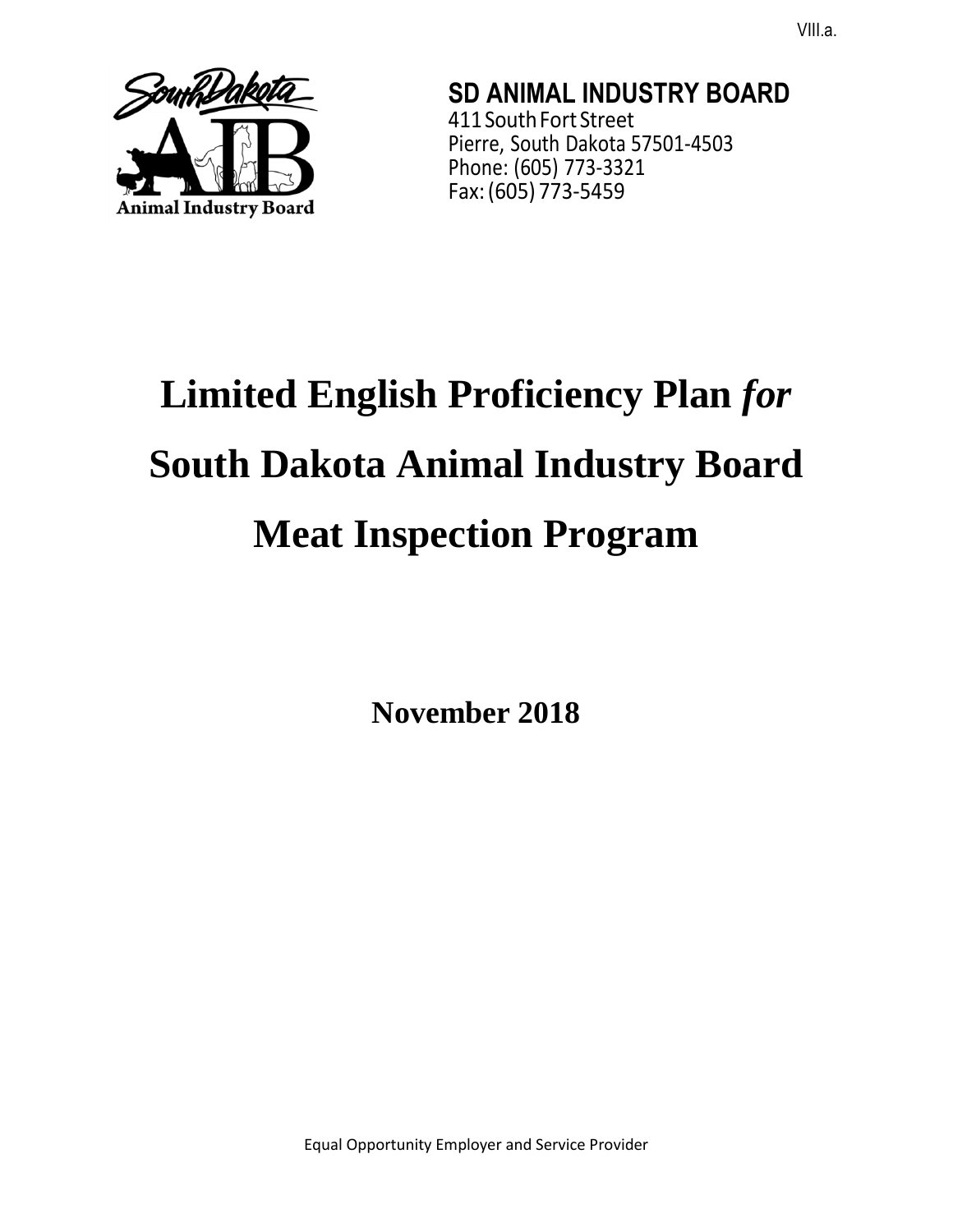

**SD ANIMAL INDUSTRY BOARD**  411 South Fort Street Pierre, South Dakota 57501-4503 Phone: (605) 773-3321 Fax: (605) 773-5459

# **Limited English Proficiency Plan** *for*  **South Dakota Animal Industry Board Meat Inspection Program**

**November 2018**

Equal Opportunity Employer and Service Provider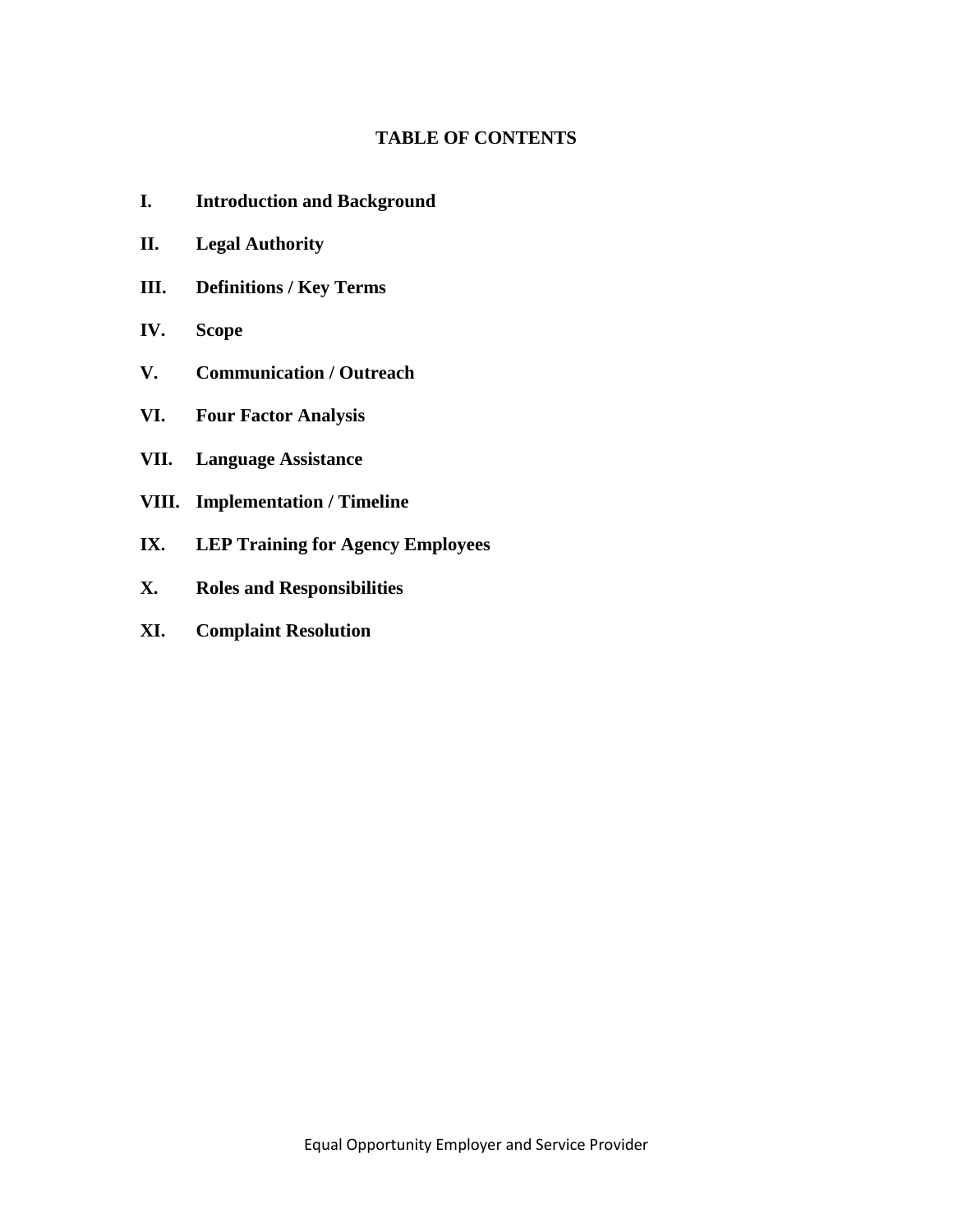# **TABLE OF CONTENTS**

- **I. Introduction and Background**
- **II. Legal Authority**
- **III. Definitions / Key Terms**
- **IV. Scope**
- **V. Communication / Outreach**
- **VI. Four Factor Analysis**
- **VII. Language Assistance**
- **VIII. Implementation / Timeline**
- **IX. LEP Training for Agency Employees**
- **X. Roles and Responsibilities**
- **XI. Complaint Resolution**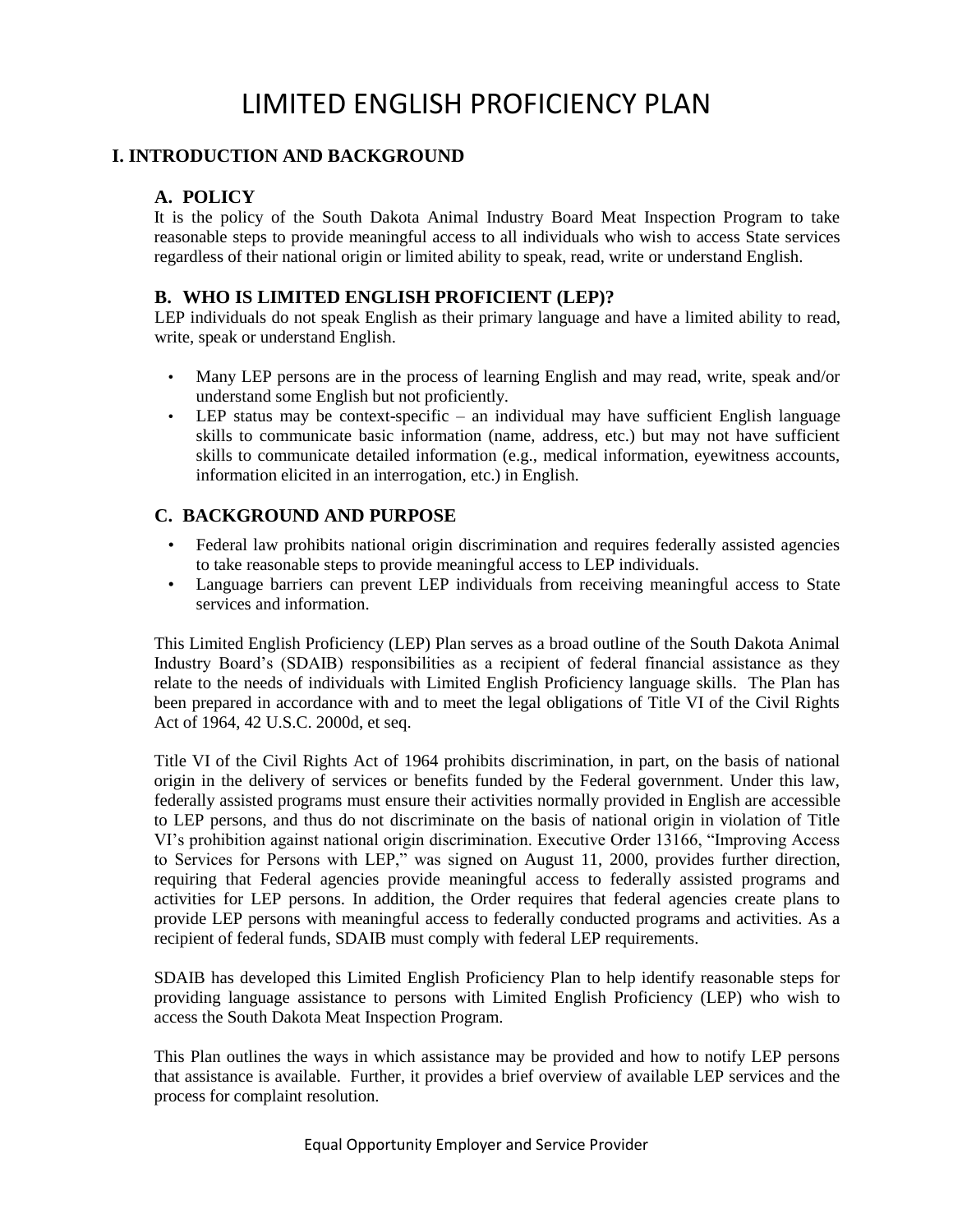# LIMITED ENGLISH PROFICIENCY PLAN

## **I. INTRODUCTION AND BACKGROUND**

#### **A. POLICY**

It is the policy of the South Dakota Animal Industry Board Meat Inspection Program to take reasonable steps to provide meaningful access to all individuals who wish to access State services regardless of their national origin or limited ability to speak, read, write or understand English.

#### **B. WHO IS LIMITED ENGLISH PROFICIENT (LEP)?**

LEP individuals do not speak English as their primary language and have a limited ability to read, write, speak or understand English.

- Many LEP persons are in the process of learning English and may read, write, speak and/or understand some English but not proficiently.
- LEP status may be context-specific an individual may have sufficient English language skills to communicate basic information (name, address, etc.) but may not have sufficient skills to communicate detailed information (e.g., medical information, eyewitness accounts, information elicited in an interrogation, etc.) in English.

#### **C. BACKGROUND AND PURPOSE**

- Federal law prohibits national origin discrimination and requires federally assisted agencies to take reasonable steps to provide meaningful access to LEP individuals.
- Language barriers can prevent LEP individuals from receiving meaningful access to State services and information.

This Limited English Proficiency (LEP) Plan serves as a broad outline of the South Dakota Animal Industry Board's (SDAIB) responsibilities as a recipient of federal financial assistance as they relate to the needs of individuals with Limited English Proficiency language skills. The Plan has been prepared in accordance with and to meet the legal obligations of Title VI of the Civil Rights Act of 1964, 42 U.S.C. 2000d, et seq.

Title VI of the Civil Rights Act of 1964 prohibits discrimination, in part, on the basis of national origin in the delivery of services or benefits funded by the Federal government. Under this law, federally assisted programs must ensure their activities normally provided in English are accessible to LEP persons, and thus do not discriminate on the basis of national origin in violation of Title VI's prohibition against national origin discrimination. Executive Order 13166, "Improving Access to Services for Persons with LEP," was signed on August 11, 2000, provides further direction, requiring that Federal agencies provide meaningful access to federally assisted programs and activities for LEP persons. In addition, the Order requires that federal agencies create plans to provide LEP persons with meaningful access to federally conducted programs and activities. As a recipient of federal funds, SDAIB must comply with federal LEP requirements.

SDAIB has developed this Limited English Proficiency Plan to help identify reasonable steps for providing language assistance to persons with Limited English Proficiency (LEP) who wish to access the South Dakota Meat Inspection Program.

This Plan outlines the ways in which assistance may be provided and how to notify LEP persons that assistance is available. Further, it provides a brief overview of available LEP services and the process for complaint resolution.

Equal Opportunity Employer and Service Provider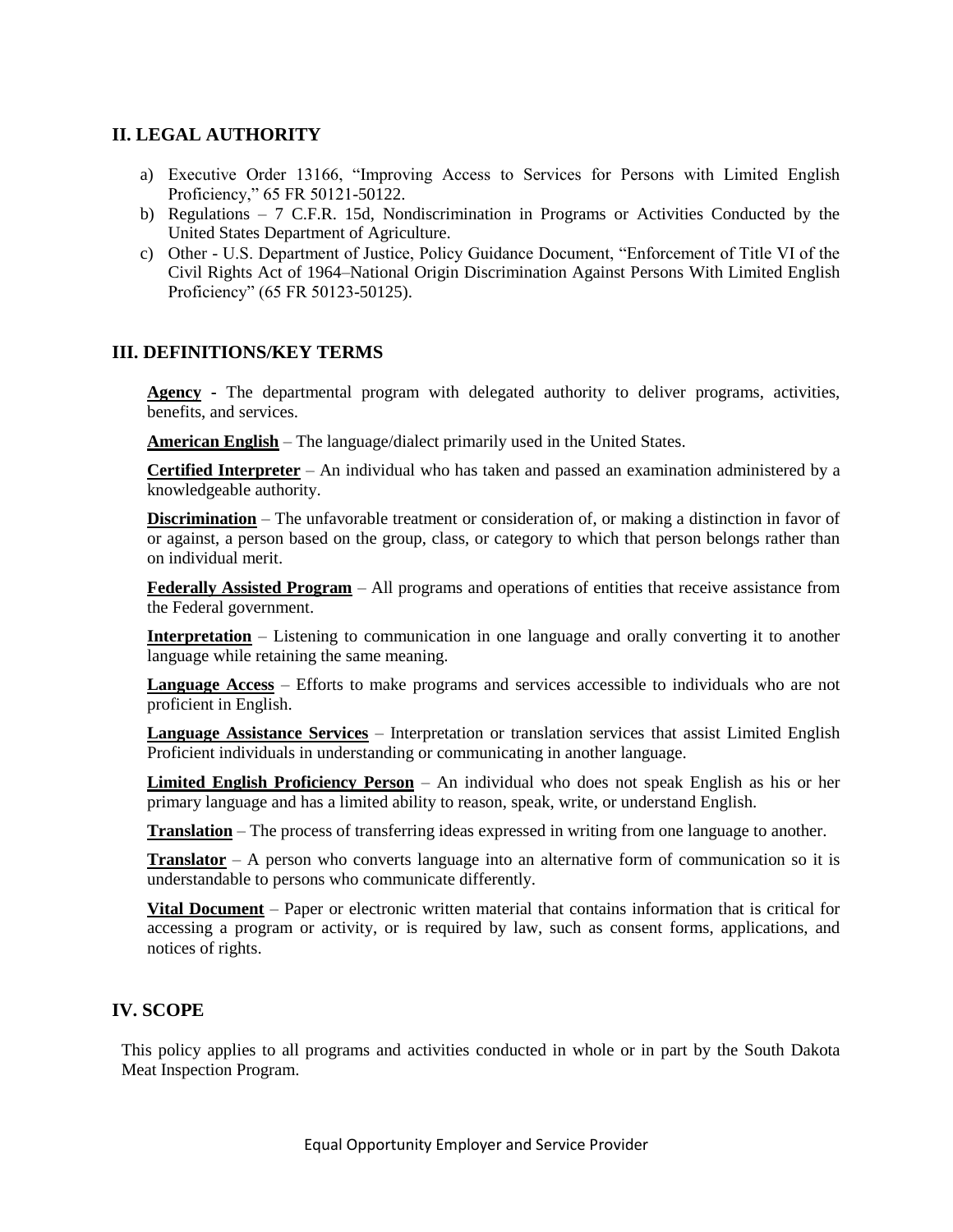#### **II. LEGAL AUTHORITY**

- a) Executive Order 13166, "Improving Access to Services for Persons with Limited English Proficiency," 65 FR 50121-50122.
- b) Regulations 7 C.F.R. 15d, Nondiscrimination in Programs or Activities Conducted by the United States Department of Agriculture.
- c) Other U.S. Department of Justice, Policy Guidance Document, "Enforcement of Title VI of the Civil Rights Act of 1964–National Origin Discrimination Against Persons With Limited English Proficiency" (65 FR 50123-50125).

#### **III. DEFINITIONS/KEY TERMS**

**Agency -** The departmental program with delegated authority to deliver programs, activities, benefits, and services.

**American English** – The language/dialect primarily used in the United States.

**Certified Interpreter** – An individual who has taken and passed an examination administered by a knowledgeable authority.

**Discrimination** – The unfavorable treatment or consideration of, or making a distinction in favor of or against, a person based on the group, class, or category to which that person belongs rather than on individual merit.

**Federally Assisted Program** – All programs and operations of entities that receive assistance from the Federal government.

**Interpretation** – Listening to communication in one language and orally converting it to another language while retaining the same meaning.

**Language Access** – Efforts to make programs and services accessible to individuals who are not proficient in English.

**Language Assistance Services** – Interpretation or translation services that assist Limited English Proficient individuals in understanding or communicating in another language.

**Limited English Proficiency Person** – An individual who does not speak English as his or her primary language and has a limited ability to reason, speak, write, or understand English.

**Translation** – The process of transferring ideas expressed in writing from one language to another.

**Translator** – A person who converts language into an alternative form of communication so it is understandable to persons who communicate differently.

**Vital Document** – Paper or electronic written material that contains information that is critical for accessing a program or activity, or is required by law, such as consent forms, applications, and notices of rights.

#### **IV. SCOPE**

This policy applies to all programs and activities conducted in whole or in part by the South Dakota Meat Inspection Program.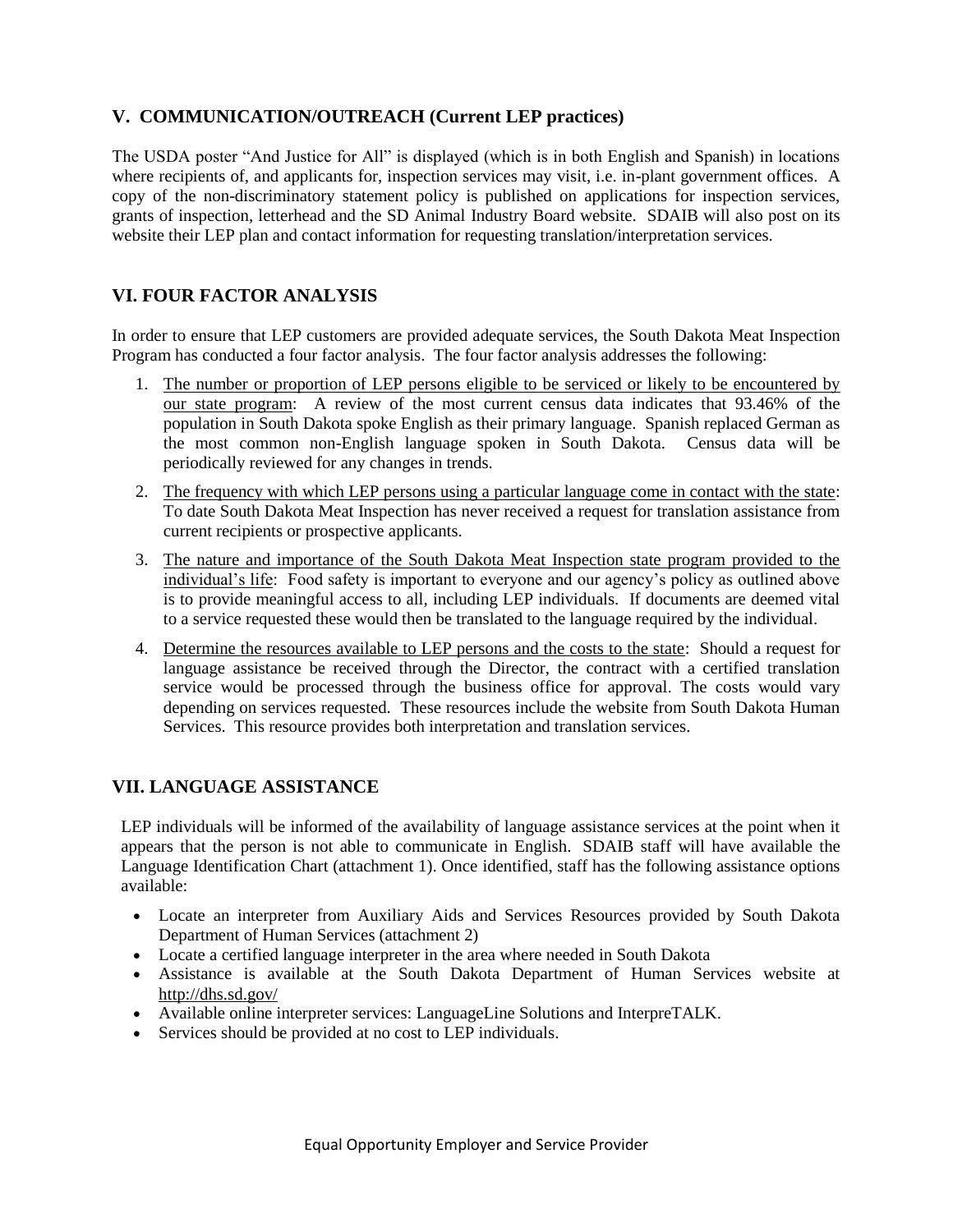# **V. COMMUNICATION/OUTREACH (Current LEP practices)**

The USDA poster "And Justice for All" is displayed (which is in both English and Spanish) in locations where recipients of, and applicants for, inspection services may visit, i.e. in-plant government offices. A copy of the non-discriminatory statement policy is published on applications for inspection services, grants of inspection, letterhead and the SD Animal Industry Board website. SDAIB will also post on its website their LEP plan and contact information for requesting translation/interpretation services.

# **VI. FOUR FACTOR ANALYSIS**

In order to ensure that LEP customers are provided adequate services, the South Dakota Meat Inspection Program has conducted a four factor analysis. The four factor analysis addresses the following:

- 1. The number or proportion of LEP persons eligible to be serviced or likely to be encountered by our state program: A review of the most current census data indicates that 93.46% of the population in South Dakota spoke English as their primary language. Spanish replaced German as the most common non-English language spoken in South Dakota. Census data will be periodically reviewed for any changes in trends.
- 2. The frequency with which LEP persons using a particular language come in contact with the state: To date South Dakota Meat Inspection has never received a request for translation assistance from current recipients or prospective applicants.
- 3. The nature and importance of the South Dakota Meat Inspection state program provided to the individual's life: Food safety is important to everyone and our agency's policy as outlined above is to provide meaningful access to all, including LEP individuals. If documents are deemed vital to a service requested these would then be translated to the language required by the individual.
- 4. Determine the resources available to LEP persons and the costs to the state: Should a request for language assistance be received through the Director, the contract with a certified translation service would be processed through the business office for approval. The costs would vary depending on services requested. These resources include the website from South Dakota Human Services. This resource provides both interpretation and translation services.

# **VII. LANGUAGE ASSISTANCE**

LEP individuals will be informed of the availability of language assistance services at the point when it appears that the person is not able to communicate in English. SDAIB staff will have available the Language Identification Chart (attachment 1). Once identified, staff has the following assistance options available:

- Locate an interpreter from Auxiliary Aids and Services Resources provided by South Dakota Department of Human Services (attachment 2)
- Locate a certified language interpreter in the area where needed in South Dakota
- Assistance is available at the South Dakota Department of Human Services website at <http://dhs.sd.gov/>
- Available online interpreter services: LanguageLine Solutions and InterpreTALK.
- Services should be provided at no cost to LEP individuals.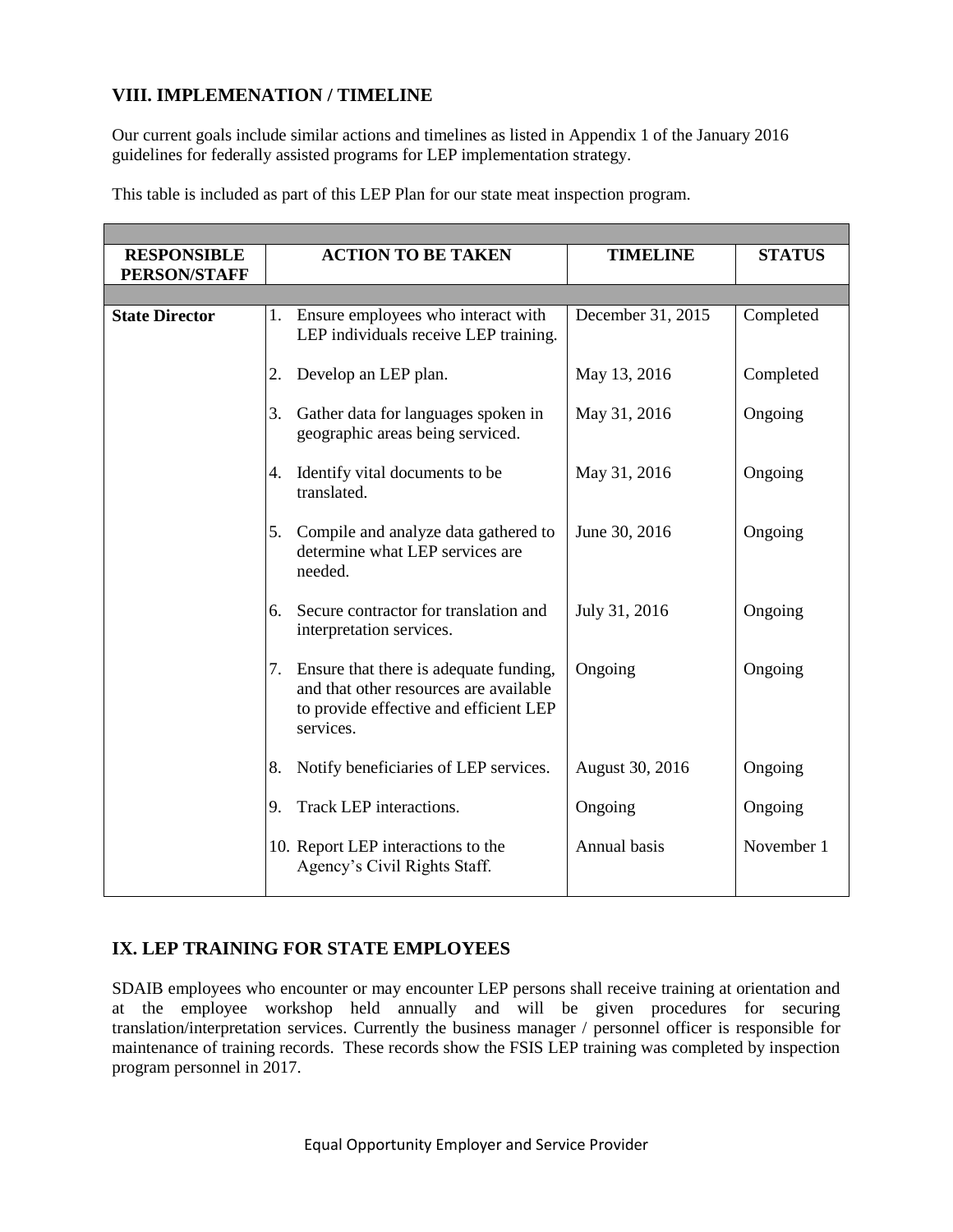# **VIII. IMPLEMENATION / TIMELINE**

Our current goals include similar actions and timelines as listed in Appendix 1 of the January 2016 guidelines for federally assisted programs for LEP implementation strategy.

|  |  | This table is included as part of this LEP Plan for our state meat inspection program. |
|--|--|----------------------------------------------------------------------------------------|
|--|--|----------------------------------------------------------------------------------------|

| <b>RESPONSIBLE</b>    |    | <b>ACTION TO BE TAKEN</b>                                                                                                                  | <b>TIMELINE</b>   | <b>STATUS</b> |  |  |
|-----------------------|----|--------------------------------------------------------------------------------------------------------------------------------------------|-------------------|---------------|--|--|
| <b>PERSON/STAFF</b>   |    |                                                                                                                                            |                   |               |  |  |
|                       |    |                                                                                                                                            |                   |               |  |  |
| <b>State Director</b> |    | 1. Ensure employees who interact with<br>LEP individuals receive LEP training.                                                             | December 31, 2015 | Completed     |  |  |
|                       | 2. | Develop an LEP plan.                                                                                                                       | May 13, 2016      | Completed     |  |  |
|                       | 3. | Gather data for languages spoken in<br>geographic areas being serviced.                                                                    | May 31, 2016      | Ongoing       |  |  |
|                       | 4. | Identify vital documents to be<br>translated.                                                                                              | May 31, 2016      | Ongoing       |  |  |
|                       | 5. | Compile and analyze data gathered to<br>determine what LEP services are<br>needed.                                                         | June 30, 2016     | Ongoing       |  |  |
|                       | 6. | Secure contractor for translation and<br>interpretation services.                                                                          | July 31, 2016     | Ongoing       |  |  |
|                       |    | 7. Ensure that there is adequate funding,<br>and that other resources are available<br>to provide effective and efficient LEP<br>services. | Ongoing           | Ongoing       |  |  |
|                       | 8. | Notify beneficiaries of LEP services.                                                                                                      | August 30, 2016   | Ongoing       |  |  |
|                       | 9. | Track LEP interactions.                                                                                                                    | Ongoing           | Ongoing       |  |  |
|                       |    | 10. Report LEP interactions to the<br>Agency's Civil Rights Staff.                                                                         | Annual basis      | November 1    |  |  |

# **IX. LEP TRAINING FOR STATE EMPLOYEES**

SDAIB employees who encounter or may encounter LEP persons shall receive training at orientation and at the employee workshop held annually and will be given procedures for securing translation/interpretation services. Currently the business manager / personnel officer is responsible for maintenance of training records. These records show the FSIS LEP training was completed by inspection program personnel in 2017.